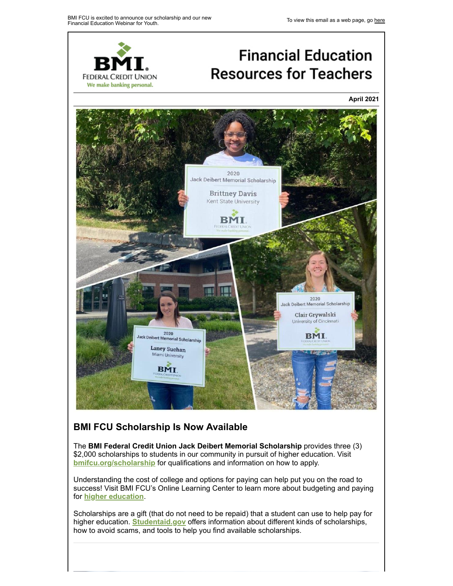

# **Financial Education Resources for Teachers**

**April 2021**



# **BMI FCU Scholarship Is Now Available**

The **BMI Federal Credit Union Jack Deibert Memorial Scholarship** provides three (3) \$2,000 scholarships to students in our community in pursuit of higher education. Visit **[bmifcu.org/scholarship](https://www.bmifcu.org/2021-bmifcu-scholarship.html)** for qualifications and information on how to apply.

Understanding the cost of college and options for paying can help put you on the road to success! Visit BMI FCU's Online Learning Center to learn more about budgeting and paying for **[higher education](https://bmifcu.everfi-next.net/student/dashboard/financialeducation/bmifcu-higher-education-achieve)**.

Scholarships are a gift (that do not need to be repaid) that a student can use to help pay for higher education. **[Studentaid.gov](https://studentaid.gov/understand-aid/types/scholarships)** offers information about different kinds of scholarships, how to avoid scams, and tools to help you find available scholarships.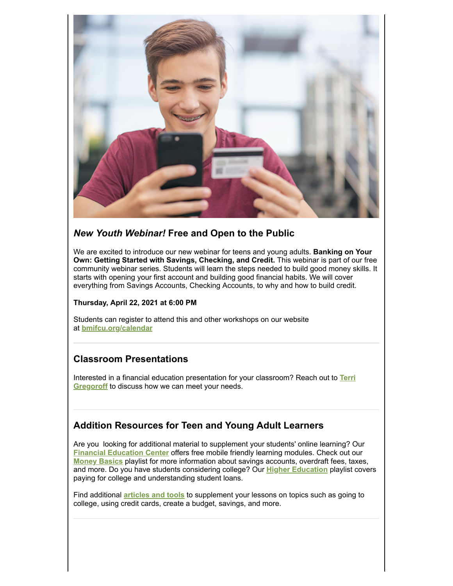

## *New Youth Webinar!* **Free and Open to the Public**

We are excited to introduce our new webinar for teens and young adults. **Banking on Your Own: Getting Started with Savings, Checking, and Credit.** This webinar is part of our free community webinar series. Students will learn the steps needed to build good money skills. It starts with opening your first account and building good financial habits. We will cover everything from Savings Accounts, Checking Accounts, to why and how to build credit.

#### **Thursday, April 22, 2021 at 6:00 PM**

Students can register to attend this and other workshops on our website at **[bmifcu.org/calendar](http://www.bmifcu.org/calendarindex.html)**

## **Classroom Presentations**

[Interested in a financial education presentation for your classroom? Reach out to](mailto:t_gregoroff@bmifcu.org) **Terri Gregoroff** to discuss how we can meet your needs.

# **Addition Resources for Teen and Young Adult Learners**

Are you looking for additional material to supplement your students' online learning? Our **[Financial Education Center](http://bmifcu.everfi-next.net/welcome/financialeducation)** offers free mobile friendly learning modules. Check out our **[Money Basics](http://bmifcu.everfi-next.net/student/dashboard/financialeducation/bmifcu-money-basics-achieve)** playlist for more information about savings accounts, overdraft fees, taxes, and more. Do you have students considering college? Our **[Higher Education](http://bmifcu.everfi-next.net/student/dashboard/financialeducation/bmifcu-higher-education-achieve)** playlist covers paying for college and understanding student loans.

Find additional **[articles and tools](http://bmifcu.learnbanzai.com/wellness)** to supplement your lessons on topics such as going to college, using credit cards, create a budget, savings, and more.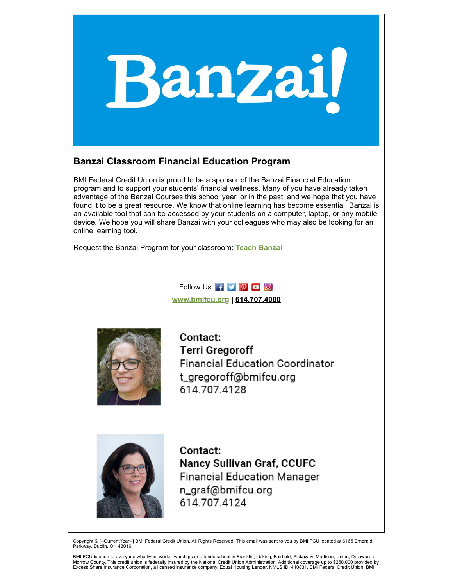

## **Banzai Classroom Financial Education Program**

BMI Federal Credit Union is proud to be a sponsor of the Banzai Financial Education program and to support your students' financial wellness. Many of you have already taken advantage of the Banzai Courses this school year, or in the past, and we hope that you have found it to be a great resource. We know that online learning has become essential. Banzai is an available tool that can be accessed by your students on a computer, laptop, or any mobile device. We hope you will share Banzai with your colleagues who may also be looking for an online learning tool.

Request the Banzai Program for your classroom: **[Teach Banzai](http://bmifcu.teachbanzai.com/)**

Follow Us:  $\bullet$   $\bullet$   $\bullet$   $\bullet$ **[www.bmifcu.org](https://www.bmifcu.org/) | [614.707.4000](tel:6147074000)**



**Contact: Terri Gregoroff Financial Education Coordinator** t\_gregoroff@bmifcu.org 614.707.4128



**Contact: Nancy Sullivan Graf, CCUFC Financial Education Manager** n\_graf@bmifcu.org 614.707.4124

Copyright © [--CurrentYear--] BMI Federal Credit Union. All Rights Reserved. This email was sent to you by BMI FCU located at 6165 Emerald Parkway, Dublin, OH 43016.

BMI FCU is open to everyone who lives, works, worships or attends school in Franklin, Licking, Fairfield, Pickaway, Madison, Union, Delaware or Morrow County. This credit union is federally insured by the National Credit Union Administration. Additional coverage up to \$250,000 provided by Excess Share Insurance Corporation, a licensed insurance company. Equal Housing Lender. NMLS ID: 410831. BMI Federal Credit Union, BMI